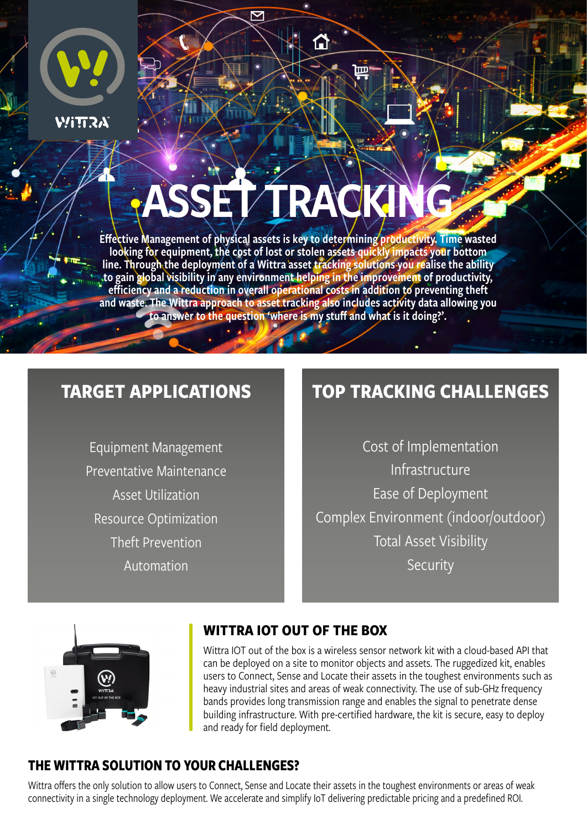

**WITTRA** 

# **ASSET TRACK**

 $\overline{\nabla}$ 

क़

Effective Management of physical assets is key to determining productivity. Time wasted looking for equipment, the cost of lost or stolen assets quickly impacts your bottom line. Through the deployment of a Wittra asset tracking solutions you realise the ability to gain global visibility in any environment helping in the improvement of productivity, efficiency and a reduction in overall operational costs in addition to preventing theft and waste. The Wittra approach to asset tracking also includes activity data allowing you to answer to the question 'where is my stuff and what is it doing?'.

## **TARGET APPLICATIONS**

Equipment Management Preventative Maintenance Asset Utilization Resource Optimization Theft Prevention Automation

## **TOP TRACKING CHALLENGES**

Cost of Implementation Infrastructure Ease of Deployment Complex Environment (indoor/outdoor) Total Asset Visibility **Security** 



#### **WITTRA IOT OUT OF THE BOX**

Wittra IOT out of the box is a wireless sensor network kit with a cloud-based API that can be deployed on a site to monitor objects and assets. The ruggedized kit, enables users to Connect, Sense and Locate their assets in the toughest environments such as heavy industrial sites and areas of weak connectivity. The use of sub-GHz frequency bands provides long transmission range and enables the signal to penetrate dense building infrastructure. With pre-certified hardware, the kit is secure, easy to deploy and ready for field deployment.

#### **THE WITTRA SOLUTION TO YOUR CHALLENGES?**

Wittra offers the only solution to allow users to Connect, Sense and Locate their assets in the toughest environments or areas of weak connectivity in a single technology deployment. We accelerate and simplify IoT delivering predictable pricing and a predefined ROI.